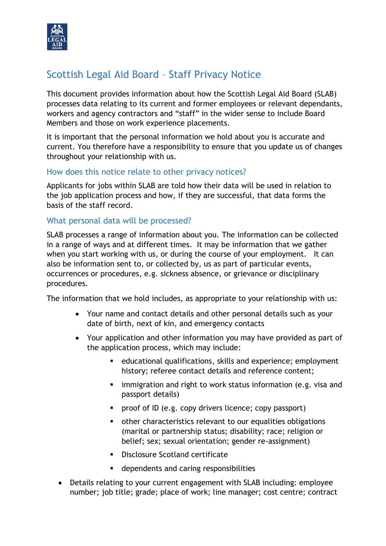

# Scottish Legal Aid Board – Staff Privacy Notice

This document provides information about how the Scottish Legal Aid Board (SLAB) processes data relating to its current and former employees or relevant dependants, workers and agency contractors and "staff" in the wider sense to include Board Members and those on work experience placements.

It is important that the personal information we hold about you is accurate and current. You therefore have a responsibility to ensure that you update us of changes throughout your relationship with us.

## How does this notice relate to other privacy notices?

Applicants for jobs within SLAB are told how their data will be used in relation to the job application process and how, if they are successful, that data forms the basis of the staff record.

## What personal data will be processed?

SLAB processes a range of information about you. The information can be collected in a range of ways and at different times. It may be information that we gather when you start working with us, or during the course of your employment. It can also be information sent to, or collected by, us as part of particular events, occurrences or procedures, e.g. sickness absence, or grievance or disciplinary procedures.

The information that we hold includes, as appropriate to your relationship with us:

- Your name and contact details and other personal details such as your date of birth, next of kin, and emergency contacts
- Your application and other information you may have provided as part of the application process, which may include:
	- educational qualifications, skills and experience; employment history; referee contact details and reference content;
	- **EXT** immigration and right to work status information (e.g. visa and passport details)
	- proof of ID (e.g. copy drivers licence; copy passport)
	- other characteristics relevant to our equalities obligations (marital or partnership status; disability; race; religion or belief; sex; sexual orientation; gender re-assignment)
	- **•** Disclosure Scotland certificate
	- **dependents and caring responsibilities**
- Details relating to your current engagement with SLAB including: employee number; job title; grade; place of work; line manager; cost centre; contract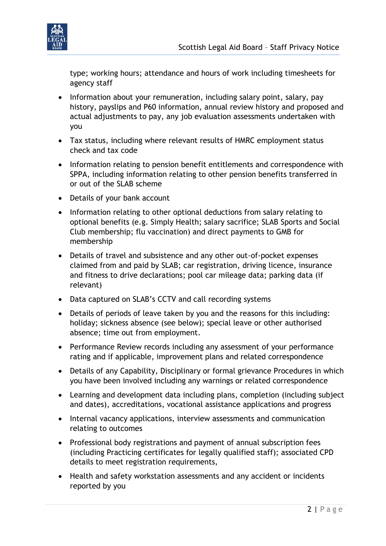

type; working hours; attendance and hours of work including timesheets for agency staff

- Information about your remuneration, including salary point, salary, pay history, payslips and P60 information, annual review history and proposed and actual adjustments to pay, any job evaluation assessments undertaken with you
- Tax status, including where relevant results of HMRC employment status check and tax code
- Information relating to pension benefit entitlements and correspondence with SPPA, including information relating to other pension benefits transferred in or out of the SLAB scheme
- Details of your bank account
- Information relating to other optional deductions from salary relating to optional benefits (e.g. Simply Health; salary sacrifice; SLAB Sports and Social Club membership; flu vaccination) and direct payments to GMB for membership
- Details of travel and subsistence and any other out-of-pocket expenses claimed from and paid by SLAB; car registration, driving licence, insurance and fitness to drive declarations; pool car mileage data; parking data (if relevant)
- Data captured on SLAB's CCTV and call recording systems
- Details of periods of leave taken by you and the reasons for this including: holiday; sickness absence (see below); special leave or other authorised absence; time out from employment.
- Performance Review records including any assessment of your performance rating and if applicable, improvement plans and related correspondence
- Details of any Capability, Disciplinary or formal grievance Procedures in which you have been involved including any warnings or related correspondence
- Learning and development data including plans, completion (including subject and dates), accreditations, vocational assistance applications and progress
- Internal vacancy applications, interview assessments and communication relating to outcomes
- Professional body registrations and payment of annual subscription fees (including Practicing certificates for legally qualified staff); associated CPD details to meet registration requirements,
- Health and safety workstation assessments and any accident or incidents reported by you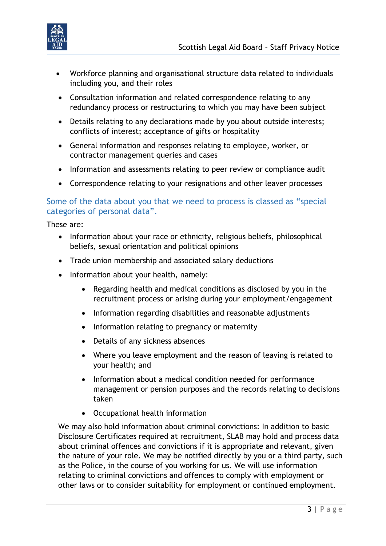

- Workforce planning and organisational structure data related to individuals including you, and their roles
- Consultation information and related correspondence relating to any redundancy process or restructuring to which you may have been subject
- Details relating to any declarations made by you about outside interests; conflicts of interest; acceptance of gifts or hospitality
- General information and responses relating to employee, worker, or contractor management queries and cases
- Information and assessments relating to peer review or compliance audit
- Correspondence relating to your resignations and other leaver processes

## Some of the data about you that we need to process is classed as "special categories of personal data".

These are:

- Information about your race or ethnicity, religious beliefs, philosophical beliefs, sexual orientation and political opinions
- Trade union membership and associated salary deductions
- Information about your health, namely:
	- Regarding health and medical conditions as disclosed by you in the recruitment process or arising during your employment/engagement
	- Information regarding disabilities and reasonable adjustments
	- Information relating to pregnancy or maternity
	- Details of any sickness absences
	- Where you leave employment and the reason of leaving is related to your health; and
	- Information about a medical condition needed for performance management or pension purposes and the records relating to decisions taken
	- Occupational health information

We may also hold information about criminal convictions: In addition to basic Disclosure Certificates required at recruitment, SLAB may hold and process data about criminal offences and convictions if it is appropriate and relevant, given the nature of your role. We may be notified directly by you or a third party, such as the Police, in the course of you working for us. We will use information relating to criminal convictions and offences to comply with employment or other laws or to consider suitability for employment or continued employment.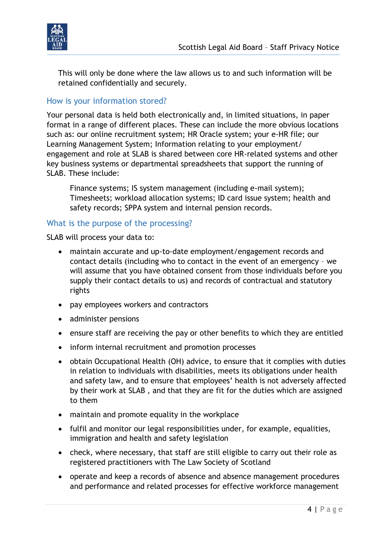

This will only be done where the law allows us to and such information will be retained confidentially and securely.

## How is your information stored?

Your personal data is held both electronically and, in limited situations, in paper format in a range of different places. These can include the more obvious locations such as: our online recruitment system; HR Oracle system; your e-HR file; our Learning Management System; Information relating to your employment/ engagement and role at SLAB is shared between core HR-related systems and other key business systems or departmental spreadsheets that support the running of SLAB. These include:

Finance systems; IS system management (including e-mail system); Timesheets; workload allocation systems; ID card issue system; health and safety records; SPPA system and internal pension records.

## What is the purpose of the processing?

SLAB will process your data to:

- maintain accurate and up-to-date employment/engagement records and contact details (including who to contact in the event of an emergency – we will assume that you have obtained consent from those individuals before you supply their contact details to us) and records of contractual and statutory rights
- pay employees workers and contractors
- administer pensions
- ensure staff are receiving the pay or other benefits to which they are entitled
- inform internal recruitment and promotion processes
- obtain Occupational Health (OH) advice, to ensure that it complies with duties in relation to individuals with disabilities, meets its obligations under health and safety law, and to ensure that employees' health is not adversely affected by their work at SLAB , and that they are fit for the duties which are assigned to them
- maintain and promote equality in the workplace
- fulfil and monitor our legal responsibilities under, for example, equalities, immigration and health and safety legislation
- check, where necessary, that staff are still eligible to carry out their role as registered practitioners with The Law Society of Scotland
- operate and keep a records of absence and absence management procedures and performance and related processes for effective workforce management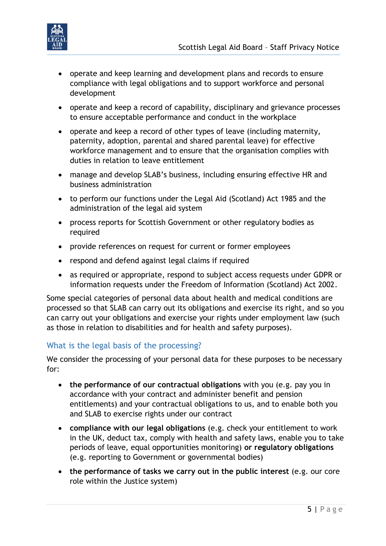

- operate and keep learning and development plans and records to ensure compliance with legal obligations and to support workforce and personal development
- operate and keep a record of capability, disciplinary and grievance processes to ensure acceptable performance and conduct in the workplace
- operate and keep a record of other types of leave (including maternity, paternity, adoption, parental and shared parental leave) for effective workforce management and to ensure that the organisation complies with duties in relation to leave entitlement
- manage and develop SLAB's business, including ensuring effective HR and business administration
- to perform our functions under the Legal Aid (Scotland) Act 1985 and the administration of the legal aid system
- process reports for Scottish Government or other regulatory bodies as required
- provide references on request for current or former employees
- respond and defend against legal claims if required
- as required or appropriate, respond to subject access requests under GDPR or information requests under the Freedom of Information (Scotland) Act 2002.

Some special categories of personal data about health and medical conditions are processed so that SLAB can carry out its obligations and exercise its right, and so you can carry out your obligations and exercise your rights under employment law (such as those in relation to disabilities and for health and safety purposes).

## What is the legal basis of the processing?

We consider the processing of your personal data for these purposes to be necessary for:

- **the performance of our contractual obligations** with you (e.g. pay you in accordance with your contract and administer benefit and pension entitlements) and your contractual obligations to us, and to enable both you and SLAB to exercise rights under our contract
- **compliance with our legal obligations** (e.g. check your entitlement to work in the UK, deduct tax, comply with health and safety laws, enable you to take periods of leave, equal opportunities monitoring) **or regulatory obligations** (e.g. reporting to Government or governmental bodies)
- **the performance of tasks we carry out in the public interest** (e.g. our core role within the Justice system)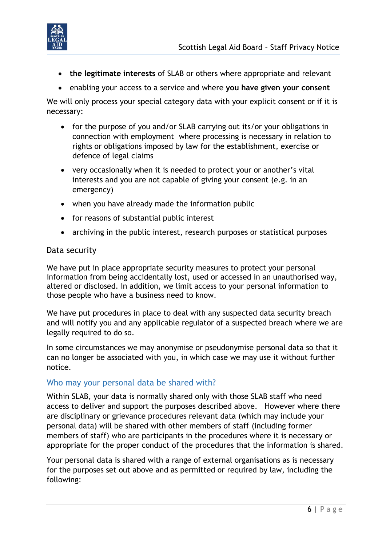

- **the legitimate interests** of SLAB or others where appropriate and relevant
- enabling your access to a service and where **you have given your consent**

We will only process your special category data with your explicit consent or if it is necessary:

- for the purpose of you and/or SLAB carrying out its/or your obligations in connection with employment where processing is necessary in relation to rights or obligations imposed by law for the establishment, exercise or defence of legal claims
- very occasionally when it is needed to protect your or another's vital interests and you are not capable of giving your consent (e.g. in an emergency)
- when you have already made the information public
- for reasons of substantial public interest
- archiving in the public interest, research purposes or statistical purposes

#### Data security

We have put in place appropriate security measures to protect your personal information from being accidentally lost, used or accessed in an unauthorised way, altered or disclosed. In addition, we limit access to your personal information to those people who have a business need to know.

We have put procedures in place to deal with any suspected data security breach and will notify you and any applicable regulator of a suspected breach where we are legally required to do so.

In some circumstances we may anonymise or pseudonymise personal data so that it can no longer be associated with you, in which case we may use it without further notice.

#### Who may your personal data be shared with?

Within SLAB, your data is normally shared only with those SLAB staff who need access to deliver and support the purposes described above. However where there are disciplinary or grievance procedures relevant data (which may include your personal data) will be shared with other members of staff (including former members of staff) who are participants in the procedures where it is necessary or appropriate for the proper conduct of the procedures that the information is shared.

Your personal data is shared with a range of external organisations as is necessary for the purposes set out above and as permitted or required by law, including the following: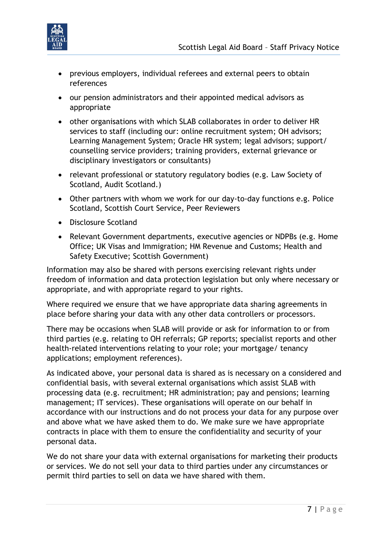

- previous employers, individual referees and external peers to obtain references
- our pension administrators and their appointed medical advisors as appropriate
- other organisations with which SLAB collaborates in order to deliver HR services to staff (including our: online recruitment system; OH advisors; Learning Management System; Oracle HR system; legal advisors; support/ counselling service providers; training providers, external grievance or disciplinary investigators or consultants)
- relevant professional or statutory regulatory bodies (e.g. Law Society of Scotland, Audit Scotland.)
- Other partners with whom we work for our day-to-day functions e.g. Police Scotland, Scottish Court Service, Peer Reviewers
- Disclosure Scotland
- Relevant Government departments, executive agencies or NDPBs (e.g. Home Office; UK Visas and Immigration; HM Revenue and Customs; Health and Safety Executive; Scottish Government)

Information may also be shared with persons exercising relevant rights under freedom of information and data protection legislation but only where necessary or appropriate, and with appropriate regard to your rights.

Where required we ensure that we have appropriate data sharing agreements in place before sharing your data with any other data controllers or processors.

There may be occasions when SLAB will provide or ask for information to or from third parties (e.g. relating to OH referrals; GP reports; specialist reports and other health-related interventions relating to your role; your mortgage/ tenancy applications; employment references).

As indicated above, your personal data is shared as is necessary on a considered and confidential basis, with several external organisations which assist SLAB with processing data (e.g. recruitment; HR administration; pay and pensions; learning management; IT services). These organisations will operate on our behalf in accordance with our instructions and do not process your data for any purpose over and above what we have asked them to do. We make sure we have appropriate contracts in place with them to ensure the confidentiality and security of your personal data.

We do not share your data with external organisations for marketing their products or services. We do not sell your data to third parties under any circumstances or permit third parties to sell on data we have shared with them.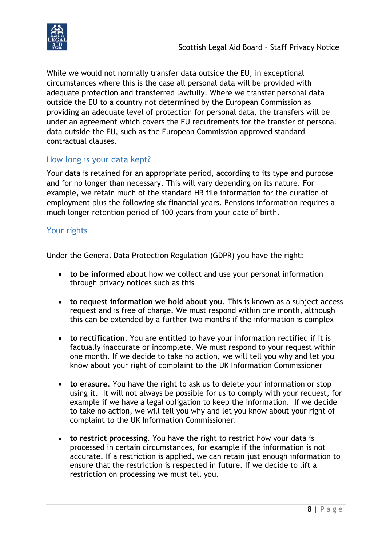

While we would not normally transfer data outside the EU, in exceptional circumstances where this is the case all personal data will be provided with adequate protection and transferred lawfully. Where we transfer personal data outside the EU to a country not determined by the European Commission as providing an adequate level of protection for personal data, the transfers will be under an agreement which covers the EU requirements for the transfer of personal data outside the EU, such as the European Commission approved standard contractual clauses.

## How long is your data kept?

Your data is retained for an appropriate period, according to its type and purpose and for no longer than necessary. This will vary depending on its nature. For example, we retain much of the standard HR file information for the duration of employment plus the following six financial years. Pensions information requires a much longer retention period of 100 years from your date of birth.

## Your rights

Under the General Data Protection Regulation (GDPR) you have the right:

- **to be informed** about how we collect and use your personal information through privacy notices such as this
- **to request information we hold about you**. This is known as a subject access request and is free of charge. We must respond within one month, although this can be extended by a further two months if the information is complex
- **to rectification**. You are entitled to have your information rectified if it is factually inaccurate or incomplete. We must respond to your request within one month. If we decide to take no action, we will tell you why and let you know about your right of complaint to the UK Information Commissioner
- **to erasure**. You have the right to ask us to delete your information or stop using it. It will not always be possible for us to comply with your request, for example if we have a legal obligation to keep the information. If we decide to take no action, we will tell you why and let you know about your right of complaint to the UK Information Commissioner.
- **to restrict processing**. You have the right to restrict how your data is processed in certain circumstances, for example if the information is not accurate. If a restriction is applied, we can retain just enough information to ensure that the restriction is respected in future. If we decide to lift a restriction on processing we must tell you.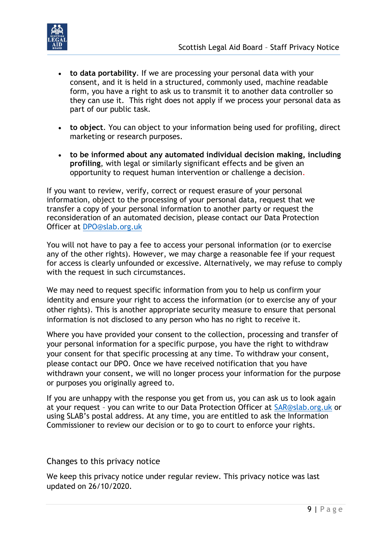

- **to data portability**. If we are processing your personal data with your consent, and it is held in a structured, commonly used, machine readable form, you have a right to ask us to transmit it to another data controller so they can use it. This right does not apply if we process your personal data as part of our public task.
- **to object**. You can object to your information being used for profiling, direct marketing or research purposes.
- **to be informed about any automated individual decision making, including profiling**, with legal or similarly significant effects and be given an opportunity to request human intervention or challenge a decision.

If you want to review, verify, correct or request erasure of your personal information, object to the processing of your personal data, request that we transfer a copy of your personal information to another party or request the reconsideration of an automated decision, please contact our Data Protection Officer at [DPO@slab.org.uk](mailto:DPO@slab.org.uk)

You will not have to pay a fee to access your personal information (or to exercise any of the other rights). However, we may charge a reasonable fee if your request for access is clearly unfounded or excessive. Alternatively, we may refuse to comply with the request in such circumstances.

We may need to request specific information from you to help us confirm your identity and ensure your right to access the information (or to exercise any of your other rights). This is another appropriate security measure to ensure that personal information is not disclosed to any person who has no right to receive it.

Where you have provided your consent to the collection, processing and transfer of your personal information for a specific purpose, you have the right to withdraw your consent for that specific processing at any time. To withdraw your consent, please contact our DPO. Once we have received notification that you have withdrawn your consent, we will no longer process your information for the purpose or purposes you originally agreed to.

If you are unhappy with the response you get from us, you can ask us to look again at your request – you can write to our Data Protection Officer at [SAR@slab.org.uk](mailto:SAR@slab.org.uk) or using SLAB's postal address. At any time, you are entitled to ask the Information Commissioner to review our decision or to go to court to enforce your rights.

## Changes to this privacy notice

We keep this privacy notice under regular review. This privacy notice was last updated on 26/10/2020.